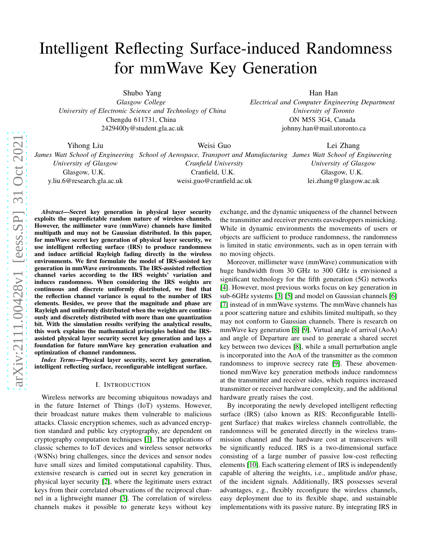# Intelligent Reflecting Surface-induced Randomness for mmWave Key Generation

Shubo Yang *Glasgow College*

*University of Electronic Science and Technology of China* Chengdu 611731, China 2429400y@student.gla.ac.uk

Han Han *Electrical and Computer Engineering Department University of Toronto* ON M5S 3G4, Canada johnny.han@mail.utoronto.ca

Yihong Liu

*University of Glasgow* Glasgow, U.K. y.liu.6@research.gla.ac.uk Weisi Guo

*Cranfield University* Cranfield, U.K. weisi.guo@cranfield.ac.uk

*James Watt School of Engineering School of Aerospace, Transport and Manufacturing James Watt School of Engineering* Lei Zhang *University of Glasgow* Glasgow, U.K. lei.zhang@glasgow.ac.uk

*Abstract*—Secret key generation in physical layer security exploits the unpredictable random nature of wireless channels. However, the millimeter wave (mmWave) channels have limited multipath and may not be Gaussian distributed. In this paper, for mmWave secret key generation of physical layer security, we use intelligent reflecting surface (IRS) to produce randomness and induce artificial Rayleigh fading directly in the wireless environments. We first formulate the model of IRS-assisted key generation in mmWave environments. The IRS-assisted reflection channel varies according to the IRS weights' variation and induces randomness. When considering the IRS weights are continuous and discrete uniformly distributed, we find that the reflection channel variance is equal to the number of IRS elements. Besides, we prove that the magnitude and phase are Rayleigh and uniformly distributed when the weights are continuously and discretely distributed with more than one quantization bit. With the simulation results verifying the analytical results, this work explains the mathematical principles behind the IRSassisted physical layer security secret key generation and lays a foundation for future mmWave key generation evaluation and optimization of channel randomness.

*Index Terms*—Physical layer security, secret key generation, intelligent reflecting surface, reconfigurable intelligent surface.

#### I. INTRODUCTION

Wireless networks are becoming ubiquitous nowadays and in the future Internet of Things (IoT) systems. However, their broadcast nature makes them vulnerable to malicious attacks. Classic encryption schemes, such as advanced encryption standard and public key cryptography, are dependent on cryptography computation techniques [\[1\]](#page-5-0). The applications of classic schemes to IoT devices and wireless sensor networks (WSNs) bring challenges, since the devices and sensor nodes have small sizes and limited computational capability. Thus, extensive research is carried out in secret key generation in physical layer security [\[2\]](#page-5-1), where the legitimate users extract keys from their correlated observations of the reciprocal channel in a lightweight manner [\[3\]](#page-5-2). The correlation of wireless channels makes it possible to generate keys without key

exchange, and the dynamic uniqueness of the channel between the transmitter and receiver prevents eavesdroppers mimicking. While in dynamic environments the movements of users or objects are sufficient to produce randomness, the randomness is limited in static environments, such as in open terrain with no moving objects.

Moreover, millimeter wave (mmWave) communication with huge bandwidth from 30 GHz to 300 GHz is envisioned a significant technology for the fifth generation (5G) networks [4]. However, most previous works focus on key generation in sub-6GHz systems [\[3\]](#page-5-2) [\[5\]](#page-5-3) and model on Gaussian channels [\[6\]](#page-5-4) [\[7\]](#page-5-5) instead of in mmWave systems. The mmWave channels has a poor scattering nature and exhibits limited multipath, so they may not conform to Gaussian channels. There is research on mmWave key generation [\[8\]](#page-5-6) [\[9\]](#page-5-7). Virtual angle of arrival (AoA) and angle of Departure are used to generate a shared secret key between two devices [\[8\]](#page-5-6), while a small perturbation angle is incorporated into the AoA of the transmitter as the common randomness to improve secrecy rate [\[9\]](#page-5-7). These abovementioned mmWave key generation methods induce randomness at the transmitter and receiver sides, which requires increased transmitter or receiver hardware complexity, and the additional hardware greatly raises the cost.

By incorporating the newly developed intelligent reflecting surface (IRS) (also known as RIS: Reconfigurable Intelligent Surface) that makes wireless channels controllable, the randomness will be generated directly in the wireless transmission channel and the hardware cost at transceivers will be significantly reduced. IRS is a two-dimensional surface consisting of a large number of passive low-cost reflecting elements [\[10\]](#page-5-8). Each scattering element of IRS is independently capable of altering the weights, i.e., amplitude and/or phase, of the incident signals. Additionally, IRS possesses several advantages, e.g., flexibly reconfigure the wireless channels, easy deployment due to its flexible shape, and sustainable implementations with its passive nature. By integrating IRS in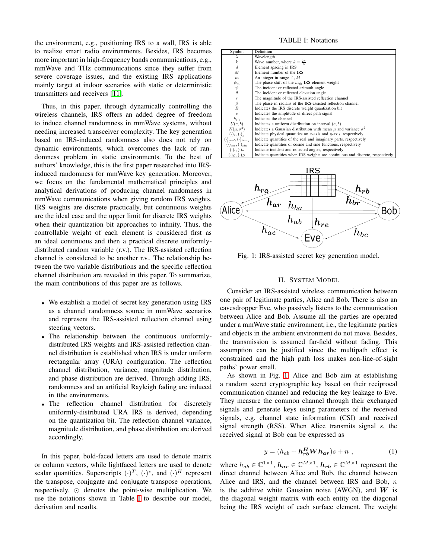the environment, e.g., positioning IRS to a wall, IRS is able to realize smart radio environments. Besides, IRS becomes more important in high-frequency bands communications, e.g., mmWave and THz communications since they suffer from severe coverage issues, and the existing IRS applications mainly target at indoor scenarios with static or deterministic transmitters and receivers [\[11\]](#page-5-9).

Thus, in this paper, through dynamically controlling the wireless channels, IRS offers an added degree of freedom to induce channel randomness in mmWave systems, without needing increased transceiver complexity. The key generation based on IRS-induced randomness also does not rely on dynamic environments, which overcomes the lack of randomness problem in static environments. To the best of authors' knowledge, this is the first paper researched into IRSinduced randomness for mmWave key generation. Moreover, we focus on the fundamental mathematical principles and analytical derivations of producing channel randomness in mmWave communications when giving random IRS weights. IRS weights are discrete practically, but continuous weights are the ideal case and the upper limit for discrete IRS weights when their quantization bit approaches to infinity. Thus, the controllable weight of each element is considered first as an ideal continuous and then a practical discrete uniformlydistributed random variable (r.v.). The IRS-assisted reflection channel is considered to be another r.v.. The relationship between the two variable distributions and the specific reflection channel distribution are revealed in this paper. To summarize, the main contributions of this paper are as follows.

- We establish a model of secret key generation using IRS as a channel randomness source in mmWave scenarios and represent the IRS-assisted reflection channel using steering vectors.
- The relationship between the continuous uniformlydistributed IRS weights and IRS-assisted reflection channel distribution is established when IRS is under uniform rectangular array (URA) configuration. The reflection channel distribution, variance, magnitude distribution, and phase distribution are derived. Through adding IRS, randomness and an artificial Rayleigh fading are induced in tthe environments.
- The reflection channel distribution for discretely uniformly-distributed URA IRS is derived, depending on the quantization bit. The reflection channel variance, magnitude distribution, and phase distribution are derived accordingly.

In this paper, bold-faced letters are used to denote matrix or column vectors, while lightfaced letters are used to denote scalar quantities. Superscripts  $(\cdot)^T$ ,  $(\cdot)^*$ , and  $(\cdot)^H$  represent the transpose, conjugate and conjugate transpose operations, respectively. ⊙ denotes the point-wise multiplication. We use the notations shown in Table [I](#page-1-0) to describe our model, derivation and results.

### TABLE I: Notations

<span id="page-1-0"></span>

| Symbol                           | Definition                                                                     |
|----------------------------------|--------------------------------------------------------------------------------|
| $\lambda$                        | Wavelength                                                                     |
| $\boldsymbol{k}$                 | Wave number, where $k = \frac{2\pi}{N}$                                        |
| $\boldsymbol{d}$                 | Element spacing in IRS                                                         |
| M                                | Element number of the IRS                                                      |
| $\boldsymbol{m}$                 | An integer in range $[1, M]$                                                   |
| $\phi_m$                         | The phase shift of the $m_{th}$ IRS element weight                             |
| ψ                                | The incident or reflected azimuth angle                                        |
| $\theta$                         | The incident or reflected elevation angle                                      |
| $\boldsymbol{r}$                 | The magnitude of the IRS-assisted reflection channel                           |
| β                                | The phase in radians of the IRS-assisted reflection channel                    |
| B                                | Indicates the IRS discrete weight quantization bit                             |
| $\eta$                           | Indicates the amplitude of direct path signal                                  |
| $h_{(.)}$                        | Indicates the channel                                                          |
| U(a,b)                           | Indicates a uniform distribution on interval $(a, b)$                          |
| $N(\mu, \sigma^2)$               | Indicates a Gaussian distribution with mean $\mu$ and variance $\sigma^2$      |
| $(\cdot)_x, (\cdot)_y$           | Indicate physical quantities on $x$ -axis and $y$ -axis, respectively          |
| $(\cdot)_{real}, (\cdot)_{imag}$ | Indicate quantities of the real and imaginary parts, respectively              |
| $(\cdot)_{cos}, (\cdot)_{sin}$   | Indicate quantities of cosine and sine functions, respectively                 |
| $(\cdot)_i, (\cdot)_o$           | Indicate incident and reflected angles, respectively                           |
| $(\cdot)_C, (\cdot)_D$           | Indicate quantities when IRS weights are continuous and discrete, respectively |
|                                  |                                                                                |

<span id="page-1-1"></span>

Fig. 1: IRS-assisted secret key generation model.

# II. SYSTEM MODEL

Consider an IRS-assisted wireless communication between one pair of legitimate parties, Alice and Bob. There is also an eavesdropper Eve, who passively listens to the communication between Alice and Bob. Assume all the parties are operated under a mmWave static environment, i.e., the legitimate parties and objects in the ambient environment do not move. Besides, the transmission is assumed far-field without fading. This assumption can be justified since the multipath effect is constrained and the high path loss makes non-line-of-sight paths' power small.

As shown in Fig. [1.](#page-1-1) Alice and Bob aim at establishing a random secret cryptographic key based on their reciprocal communication channel and reducing the key leakage to Eve. They measure the common channel through their exchanged signals and generate keys using parameters of the received signals, e.g. channel state information (CSI) and received signal strength (RSS). When Alice transmits signal  $s$ , the received signal at Bob can be expressed as

<span id="page-1-2"></span>
$$
y = (h_{ab} + \mathbf{h}_{rb}^H \mathbf{W} \mathbf{h}_{ar})s + n \tag{1}
$$

where  $h_{ab} \in \mathbb{C}^{1 \times 1}$ ,  $\mathbf{h_{ar}} \in \mathbb{C}^{M \times 1}$ ,  $\mathbf{h_{rb}} \in \mathbb{C}^{M \times 1}$  represent the direct channel between Alice and Bob, the channel between Alice and IRS, and the channel between IRS and Bob,  $n$ is the additive white Gaussian noise (AWGN), and  $W$  is the diagonal weight matrix with each entity on the diagonal being the IRS weight of each surface element. The weight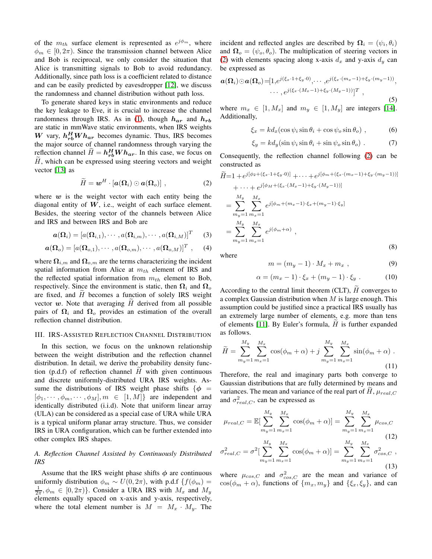of the  $m_{th}$  surface element is represented as  $e^{j\phi_m}$ , where  $\phi_m \in [0, 2\pi)$ . Since the transmission channel between Alice and Bob is reciprocal, we only consider the situation that Alice is transmitting signals to Bob to avoid redundancy. Additionally, since path loss is a coefficient related to distance and can be easily predicted by eavesdropper [\[12\]](#page-5-10), we discuss the randomness and channel distribution without path loss.

To generate shared keys in static environments and reduce the key leakage to Eve, it is crucial to increase the channel randomness through IRS. As in [\(1\)](#page-1-2), though  $h_{ar}$  and  $h_{rb}$ are static in mmWave static environments, when IRS weights W vary,  $h_{rb}^H Wh_{ar}$  becomes dynamic. Thus, IRS becomes the major source of channel randomness through varying the reflection channel  $\widetilde{H} = h_{rb}^H W h_{ar}$ . In this case, we focus on  $H$ , which can be expressed using steering vectors and weight vector [\[13\]](#page-5-11) as

<span id="page-2-0"></span>
$$
\widetilde{H} = \boldsymbol{w}^H \cdot [\boldsymbol{a}(\boldsymbol{\Omega}_i) \odot \boldsymbol{a}(\boldsymbol{\Omega}_o)] \ , \qquad (2)
$$

where  $w$  is the weight vector with each entity being the diagonal entity of  $W$ , i.e., weight of each surface element. Besides, the steering vector of the channels between Alice and IRS and between IRS and Bob are

$$
\boldsymbol{a}(\boldsymbol{\Omega}_i) = [a(\boldsymbol{\Omega}_{i,1}), \cdots, a(\boldsymbol{\Omega}_{i,m}), \cdots, a(\boldsymbol{\Omega}_{i,M})]^T \qquad (3)
$$

$$
\boldsymbol{a}(\boldsymbol{\Omega}_o) = [a(\boldsymbol{\Omega}_{o,1}), \cdots, a(\boldsymbol{\Omega}_{o,m}), \cdots, a(\boldsymbol{\Omega}_{o,M})]^T, \quad (4)
$$

where  $\Omega_{i,m}$  and  $\Omega_{o,m}$  are the terms characterizing the incident spatial information from Alice at  $m_{th}$  element of IRS and the reflected spatial information from  $m_{th}$  element to Bob, respectively. Since the environment is static, then  $\Omega_i$  and  $\Omega_o$ are fixed, and  $H$  becomes a function of solely IRS weight vector  $w$ . Note that averaging  $H$  derived from all possible pairs of  $\Omega_i$  and  $\Omega_o$  provides an estimation of the overall reflection channel distribution.

#### III. IRS-ASSISTED REFLECTION CHANNEL DISTRIBUTION

In this section, we focus on the unknown relationship between the weight distribution and the reflection channel distribution. In detail, we derive the probability density function (p.d.f) of reflection channel  $H$  with given continuous and discrete uniformly-distributed URA IRS weights. Assume the distributions of IRS weight phase shifts  $\{\phi =$  $[\phi_1, \cdots, \phi_m, \cdots, \phi_M], m \in [1, M]$  are independent and identically distributed (i.i.d). Note that uniform linear array (ULA) can be considered as a special case of URA while URA is a typical uniform planar array structure. Thus, we consider IRS in URA configuration, which can be further extended into other complex IRS shapes.

# *A. Reflection Channel Assisted by Continuously Distributed IRS*

Assume that the IRS weight phase shifts  $\phi$  are continuous uniformly distribution  $\phi_m \sim U(0, 2\pi)$ , with p.d.f  $\{f(\phi_m) =$  $\frac{1}{2\pi}$ ,  $\phi_m \in [0, 2\pi)$ . Consider a URA IRS with  $M_x$  and  $M_y$ elements equally spaced on x-axis and y-axis, respectively, where the total element number is  $M = M_x \cdot M_y$ . The

incident and reflected angles are described by  $\mathbf{\Omega}_i = (\psi_i, \theta_i)$ and  $\Omega_o = (\psi_o, \theta_o)$ . The multiplication of steering vectors in [\(2\)](#page-2-0) with elements spacing along x-axis  $d_x$  and y-axis  $d_y$  can be expressed as

$$
\boldsymbol{a}(\boldsymbol{\Omega}_i) \odot \boldsymbol{a}(\boldsymbol{\Omega}_o) = [1, e^{j(\xi_x \cdot 1 + \xi_y \cdot 0)}, \cdots, e^{j(\xi_x \cdot (m_x - 1) + \xi_y \cdot (m_y - 1))},
$$

$$
\cdots, e^{j(\xi_x \cdot (M_x - 1) + \xi_y \cdot (M_y - 1))}]^T,
$$
(5)

where  $m_x \in [1, M_x]$  and  $m_y \in [1, M_y]$  are integers [\[14\]](#page-5-12). Additionally,

$$
\xi_x = k d_x (\cos \psi_i \sin \theta_i + \cos \psi_o \sin \theta_o) , \qquad (6)
$$

$$
\xi_y = kd_y(\sin\psi_i\sin\theta_i + \sin\psi_o\sin\theta_o) \ . \tag{7}
$$

Consequently, the reflection channel following [\(2\)](#page-2-0) can be constructed as

$$
\widetilde{H}=1+e^{j[\phi_2+(\xi_x\cdot 1+\xi_y\cdot 0)]}+\cdots+e^{j[\phi_m+(\xi_x\cdot (m_x-1)+\xi_y\cdot (m_y-1))]}
$$
\n
$$
+\cdots+e^{j[\phi_M+(\xi_x\cdot (M_x-1)+\xi_y\cdot (M_y-1))]}
$$
\n
$$
=\sum_{m_y=1}^{M_y}\sum_{m_x=1}^{M_x}e^{j[\phi_m+(m_x-1)\cdot\xi_x+(m_y-1)\cdot\xi_y]}
$$
\n
$$
=\sum_{m_y=1}^{M_y}\sum_{m_x=1}^{M_x}e^{j(\phi_m+\alpha)},
$$

where

$$
m = (m_y - 1) \cdot M_x + m_x , \qquad (9)
$$

(8)

$$
\alpha = (m_x - 1) \cdot \xi_x + (m_y - 1) \cdot \xi_y \tag{10}
$$

According to the central limit theorem (CLT),  $\tilde{H}$  converges to a complex Gaussian distribution when  $M$  is large enough. This assumption could be justified since a practical IRS usually has an extremely large number of elements, e.g. more than tens of elements [\[11\]](#page-5-9). By Euler's formula,  $H$  is further expanded as follows.

<span id="page-2-1"></span>
$$
\widetilde{H} = \sum_{m_y=1}^{M_y} \sum_{m_x=1}^{M_x} \cos(\phi_m + \alpha) + j \sum_{m_y=1}^{M_y} \sum_{m_x=1}^{M_x} \sin(\phi_m + \alpha) \tag{11}
$$

Therefore, the real and imaginary parts both converge to Gaussian distributions that are fully determined by means and variances. The mean and variance of the real part of  $\hat{H}$ ,  $\mu_{real,C}$ and  $\sigma_{real,C}^2$ , can be expressed as

<span id="page-2-2"></span>
$$
\mu_{real,C} = \mathbb{E}[\sum_{m_y=1}^{M_y} \sum_{m_x=1}^{M_x} \cos(\phi_m + \alpha)] = \sum_{m_y=1}^{M_y} \sum_{m_x=1}^{M_x} \mu_{cos,C}
$$
\n
$$
\sigma_{real,C}^2 = \sigma^2[\sum_{m_y=1}^{M_y} \sum_{m_x=1}^{M_x} \cos(\phi_m + \alpha)] = \sum_{m_y=1}^{M_y} \sum_{m_x=1}^{M_x} \sigma_{cos,C}^2,
$$
\n(13)

<span id="page-2-3"></span>where  $\mu_{cos,C}$  and  $\sigma_{cos,C}^2$  are the mean and variance of  $\cos(\phi_m + \alpha)$ , functions of  $\{m_x, m_y\}$  and  $\{\xi_x, \xi_y\}$ , and can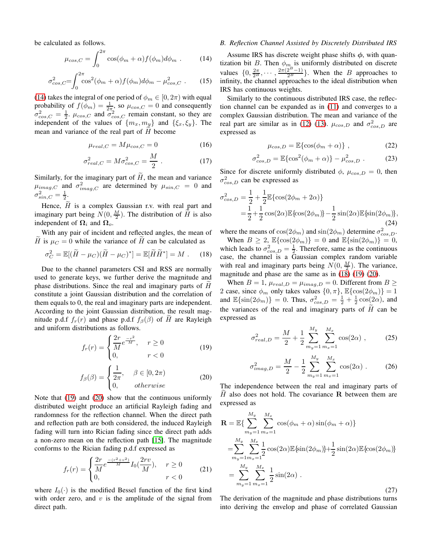be calculated as follows.

<span id="page-3-0"></span>
$$
\mu_{cos,C} = \int_0^{2\pi} \cos(\phi_m + \alpha) f(\phi_m) d\phi_m \ . \tag{14}
$$

$$
\sigma_{cos,C}^2 = \int_0^{2\pi} \cos^2(\phi_m + \alpha) f(\phi_m) d\phi_m - \mu_{cos,C}^2 \ . \tag{15}
$$

[\(14\)](#page-3-0) takes the integral of one period of  $\phi_m \in [0, 2\pi)$  with equal probability of  $f(\phi_m) = \frac{1}{2\pi}$ , so  $\mu_{cos,C} = 0$  and consequently  $\sigma_{cos,C}^2 = \frac{1}{2}$ .  $\mu_{cos,C}$  and  $\sigma_{cos,C}^2$  remain constant, so they are independent of the values of  $\{m_x, m_y\}$  and  $\{\xi_x, \xi_y\}$ . The mean and variance of the real part of  $H$  become

$$
\mu_{real,C} = M\mu_{cos,C} = 0 \tag{16}
$$

$$
\sigma_{real,C}^2 = M \sigma_{cos,C}^2 = \frac{M}{2} \ . \tag{17}
$$

Similarly, for the imaginary part of  $H$ , the mean and variance  $\mu_{imag,C}$  and  $\sigma^2_{imag,C}$  are determined by  $\mu_{sin,C} = 0$  and  $\sigma_{sin,C}^2 = \frac{1}{2}.$ 

Hence,  $\widetilde{H}$  is a complex Gaussian r.v. with real part and imaginary part being  $N(0, \frac{M}{2})$ . The distribution of  $\widetilde{H}$  is also independent of  $\Omega_i$  and  $\Omega_o$ .

With any pair of incident and reflected angles, the mean of H is  $\mu_C = 0$  while the variance of H can be calculated as

<span id="page-3-3"></span>
$$
\sigma_C^2 = \mathbb{E}[(\widetilde{H} - \mu_C)(\widetilde{H} - \mu_C)^*] = \mathbb{E}[\widetilde{H}\widetilde{H}^*] = M . \quad (18)
$$

Due to the channel parameters CSI and RSS are normally used to generate keys, we further derive the magnitude and phase distributions. Since the real and imaginary parts of  $H$ constitute a joint Gaussian distribution and the correlation of them equals to 0, the real and imaginary parts are independent. According to the joint Gaussian distribution, the result magnitude p.d.f  $f_r(r)$  and phase p.d.f  $f_\beta(\beta)$  of H are Rayleigh and uniform distributions as follows.

<span id="page-3-1"></span>
$$
f_r(r) = \begin{cases} \frac{2r}{M}e^{\frac{-r^2}{M}}, & r \ge 0\\ 0, & r < 0 \end{cases}
$$
 (19)

<span id="page-3-2"></span>
$$
f_{\beta}(\beta) = \begin{cases} \frac{1}{2\pi}, & \beta \in [0, 2\pi) \\ 0, & otherwise \end{cases}
$$
 (20)

Note that [\(19\)](#page-3-1) and [\(20\)](#page-3-2) show that the continuous uniformly distributed weight produce an artificial Rayleigh fading and randomness for the reflection channel. When the direct path and reflection path are both considered, the induced Rayleigh fading will turn into Rician fading since the direct path adds a non-zero mean on the reflection path [\[15\]](#page-5-13). The magnitude conforms to the Rician fading p.d.f expressed as

$$
f_r(r) = \begin{cases} \frac{2r}{M} e^{\frac{-(r^2+v^2)}{M}} I_0(\frac{2rv}{M}), & r \ge 0\\ 0, & r < 0 \end{cases}
$$
 (21)

where  $I_0(\cdot)$  is the modified Bessel function of the first kind with order zero, and  $v$  is the amplitude of the signal from direct path.

# *B. Reflection Channel Assisted by Discretely Distributed IRS*

Assume IRS has discrete weight phase shifts  $\phi$ , with quantization bit B. Then  $\phi_{m}$  is uniformly distributed on discrete values  $\{0, \frac{2\pi}{2^B}, \cdots, \frac{2\pi(2^B-1)}{2^B}\}$ . When the B approaches to infinity, the channel approaches to the ideal distribution when IRS has continuous weights.

Similarly to the continuous distributed IRS case, the reflection channel can be expanded as in [\(11\)](#page-2-1) and converges to a complex Gaussian distribution. The mean and variance of the real part are similar as in [\(12\)](#page-2-2) [\(13\)](#page-2-3).  $\mu_{cos,D}$  and  $\sigma_{cos,D}^2$  are expressed as

$$
\mu_{cos,D} = \mathbb{E}\{\cos(\phi_m + \alpha)\},\qquad(22)
$$

$$
\sigma_{cos,D}^2 = \mathbb{E}\{\cos^2(\phi_m + \alpha)\} - \mu_{cos,D}^2.
$$
 (23)

Since for discrete uniformly distributed  $\phi$ ,  $\mu_{cos,D} = 0$ , then  $\sigma_{cos,D}^2$  can be expressed as

$$
\sigma_{cos,D}^2 = \frac{1}{2} + \frac{1}{2} \mathbb{E} \{ \cos(2\phi_m + 2\alpha) \} \n= \frac{1}{2} + \frac{1}{2} \cos(2\alpha) \mathbb{E} \{ \cos(2\phi_m) \} - \frac{1}{2} \sin(2\alpha) \mathbb{E} \{ \sin(2\phi_m) \},
$$
\n(24)

where the means of  $cos(2\phi_m)$  and  $sin(2\phi_m)$  determine  $\sigma_{cos,D}^2$ . When  $B \ge 2$ ,  $\mathbb{E}\{\cos(2\phi_m)\} = 0$  and  $\mathbb{E}\{\sin(2\phi_m)\} = 0$ , which leads to  $\sigma_{\cos,D}^2 = \frac{1}{2}$ . Therefore, same as the continuous case, the channel is a Gaussian complex random variable with real and imaginary parts being  $N(0, \frac{M}{2})$ . The variance, magnitude and phase are the same as in  $(18)$   $(19)$   $(20)$ .

When  $B = 1$ ,  $\mu_{real, D} = \mu_{imag, D} = 0$ . Different from  $B \ge$ 2 case, since  $\phi_m$  only takes values  $\{0, \pi\}$ ,  $\mathbb{E}\{\cos(2\phi_m)\} = 1$ and  $\mathbb{E}\{\sin(2\phi_m)\}=0$ . Thus,  $\sigma_{cos,D}^2 = \frac{1}{2} + \frac{1}{2}\cos(2\alpha)$ , and the variances of the real and imaginary parts of  $H$  can be expressed as

<span id="page-3-4"></span>
$$
\sigma_{real,D}^2 = \frac{M}{2} + \frac{1}{2} \sum_{m_y=1}^{M_y} \sum_{m_x=1}^{M_x} \cos(2\alpha) , \qquad (25)
$$

<span id="page-3-5"></span>
$$
\sigma_{imag,D}^2 = \frac{M}{2} - \frac{1}{2} \sum_{m_y=1}^{M_y} \sum_{m_x=1}^{M_x} \cos(2\alpha) \ . \tag{26}
$$

The independence between the real and imaginary parts of  $H$  also does not hold. The covariance R between them are expressed as

$$
\mathbf{R} = \mathbb{E}\{\sum_{m_y=1}^{M_y} \sum_{m_x=1}^{M_x} \cos(\phi_m + \alpha) \sin(\phi_m + \alpha)\}
$$
  
\n
$$
= \sum_{m_y=1}^{M_y} \sum_{m_x=1}^{M_x} \frac{1}{2} \cos(2\alpha) \mathbb{E}\{\sin(2\phi_m)\} + \frac{1}{2} \sin(2\alpha) \mathbb{E}\{\cos(2\phi_m)\}
$$
  
\n
$$
= \sum_{m_y=1}^{M_y} \sum_{m_x=1}^{M_x} \frac{1}{2} \sin(2\alpha) .
$$
\n(27)

The derivation of the magnitude and phase distributions turns into deriving the envelop and phase of correlated Gaussian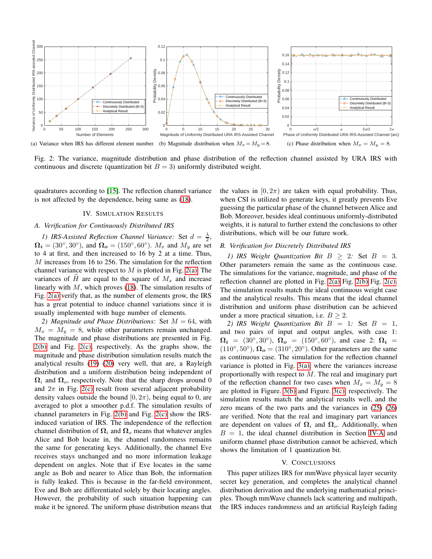

<span id="page-4-0"></span>Fig. 2: The variance, magnitude distribution and phase distribution of the reflection channel assisted by URA IRS with continuous and discrete (quantization bit  $B = 3$ ) uniformly distributed weight.

quadratures according to [\[15\]](#page-5-13). The reflection channel variance is not affected by the dependence, being same as [\(18\)](#page-3-3).

# IV. SIMULATION RESULTS

# <span id="page-4-3"></span>*A. Verification for Continuously Distributed IRS*

*1)* IRS-Assisted Reflection Channel Variance: Set  $d = \frac{\lambda}{2}$ ,  $\Omega_i = (30^\circ, 30^\circ)$ , and  $\Omega_o = (150^\circ, 60^\circ)$ .  $M_x$  and  $M_y$  are set to 4 at first, and then increased to 16 by 2 at a time. Thus, M increases from 16 to 256. The simulation for the reflection channel variance with respect to  $M$  is plotted in Fig. [2\(a\).](#page-4-0) The variances of H are equal to the square of  $M_x$  and increase linearly with  $M$ , which proves [\(18\)](#page-3-3). The simulation results of Fig. [2\(a\)](#page-4-0) verify that, as the number of elements grow, the IRS has a great potential to induce channel variations since it is usually implemented with huge number of elements.

2) Magnitude and Phase Distributions: Set  $M = 64$ , with  $M_x = M_y = 8$ , while other parameters remain unchanged. The magnitude and phase distributions are presented in Fig. [2\(b\)](#page-4-1) and Fig. [2\(c\),](#page-4-2) respectively. As the graphs show, the magnitude and phase distribution simulation results match the analytical results [\(19\)](#page-3-1) [\(20\)](#page-3-2) very well, that are, a Rayleigh distribution and a uniform distribution being independent of  $\Omega_i$  and  $\Omega_o$ , respectively. Note that the sharp drops around 0 and  $2\pi$  in Fig. [2\(c\)](#page-4-2) result from several adjacent probability density values outside the bound  $[0, 2\pi)$ , being equal to 0, are averaged to plot a smoother p.d.f. The simulation results of channel parameters in Fig. [2\(b\)](#page-4-1) and Fig. [2\(c\)](#page-4-2) show the IRSinduced variation of IRS. The independence of the reflection channel distribution of  $\Omega_i$  and  $\Omega_o$  means that whatever angles Alice and Bob locate in, the channel randomness remains the same for generating keys. Additionally, the channel Eve receives stays unchanged and no more information leakage dependent on angles. Note that if Eve locates in the same angle as Bob and nearer to Alice than Bob, the information is fully leaked. This is because in the far-field environment, Eve and Bob are differentiated solely by their locating angles. However, the probability of such situation happening can make it be ignored. The uniform phase distribution means that <span id="page-4-2"></span><span id="page-4-1"></span>the values in  $[0, 2\pi)$  are taken with equal probability. Thus, when CSI is utilized to generate keys, it greatly prevents Eve guessing the particular phase of the channel between Alice and Bob. Moreover, besides ideal continuous uniformly-distributed weights, it is natural to further extend the conclusions to other distributions, which will be our future work.

# *B. Verification for Discretely Distributed IRS*

*1)* IRS Weight Quantization Bit  $B \geq 2$ : Set  $B = 3$ . Other parameters remain the same as the continuous case. The simulations for the variance, magnitude, and phase of the reflection channel are plotted in Fig. [2\(a\)](#page-4-0) Fig. [2\(b\)](#page-4-1) Fig. [2\(c\).](#page-4-2) The simulation results match the ideal continuous weight case and the analytical results. This means that the ideal channel distribution and uniform phase distribution can be achieved under a more practical situation, i.e.  $B > 2$ .

2) IRS Weight Quantization Bit  $B = 1$ : Set  $B = 1$ , and two pairs of input and output angles, with case 1:  $\Omega_i = (30^{\circ}, 30^{\circ}), \Omega_o = (150^{\circ}, 60^{\circ}), \text{ and case } 2: \Omega_i =$  $(110^{\circ}, 50^{\circ}), \Omega_o = (310^{\circ}, 20^{\circ}).$  Other parameters are the same as continuous case. The simulation for the reflection channel variance is plotted in Fig. [3\(a\),](#page-5-14) where the variances increase proportionally with respect to  $M$ . The real and imaginary part of the reflection channel for two cases when  $M_x = M_y = 8$ are plotted in Figure. [3\(b\)](#page-5-15) and Figure. [3\(c\),](#page-5-16) respectively. The simulation results match the analytical results well, and the zero means of the two parts and the variances in [\(25\)](#page-3-4) [\(26\)](#page-3-5) are verified. Note that the real and imaginary part variances are dependent on values of  $\Omega_i$  and  $\Omega_o$ . Additionally, when  $B = 1$ , the ideal channel distribution in Section [IV-A](#page-4-3) and uniform channel phase distribution cannot be achieved, which shows the limitation of 1 quantization bit.

#### V. CONCLUSIONS

This paper utilizes IRS for mmWave physical layer security secret key generation, and completes the analytical channel distribution derivation and the underlying mathematical principles. Though mmWave channels lack scattering and multipath, the IRS induces randomness and an artificial Rayleigh fading